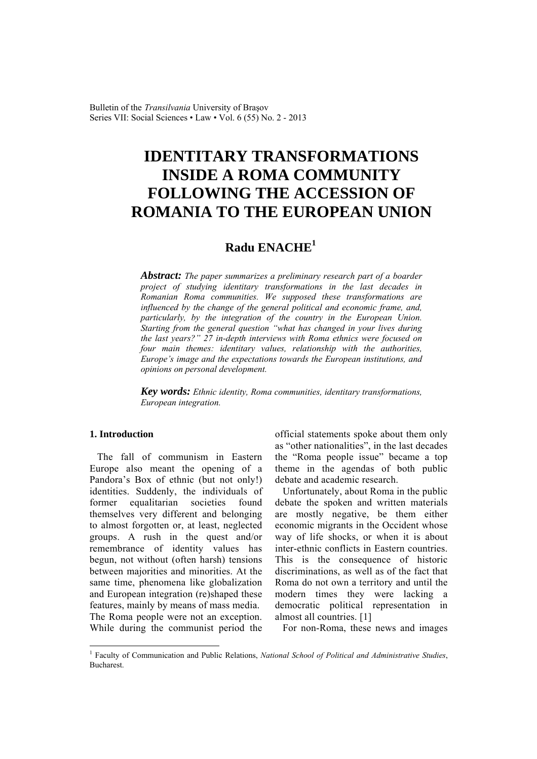Bulletin of the *Transilvania* University of Braşov Series VII: Social Sciences • Law • Vol. 6 (55) No. 2 - 2013

# **IDENTITARY TRANSFORMATIONS INSIDE A ROMA COMMUNITY FOLLOWING THE ACCESSION OF ROMANIA TO THE EUROPEAN UNION**

# **Radu ENACHE<sup>1</sup>**

*Abstract: The paper summarizes a preliminary research part of a boarder project of studying identitary transformations in the last decades in Romanian Roma communities. We supposed these transformations are influenced by the change of the general political and economic frame, and, particularly, by the integration of the country in the European Union. Starting from the general question "what has changed in your lives during the last years?" 27 in-depth interviews with Roma ethnics were focused on four main themes: identitary values, relationship with the authorities, Europe's image and the expectations towards the European institutions, and opinions on personal development.* 

*Key words: Ethnic identity, Roma communities, identitary transformations, European integration.*

# **1. Introduction**

 $\overline{a}$ 

The fall of communism in Eastern Europe also meant the opening of a Pandora's Box of ethnic (but not only!) identities. Suddenly, the individuals of former equalitarian societies found themselves very different and belonging to almost forgotten or, at least, neglected groups. A rush in the quest and/or remembrance of identity values has begun, not without (often harsh) tensions between majorities and minorities. At the same time, phenomena like globalization and European integration (re)shaped these features, mainly by means of mass media. The Roma people were not an exception. While during the communist period the

official statements spoke about them only as "other nationalities", in the last decades the "Roma people issue" became a top theme in the agendas of both public debate and academic research.

Unfortunately, about Roma in the public debate the spoken and written materials are mostly negative, be them either economic migrants in the Occident whose way of life shocks, or when it is about inter-ethnic conflicts in Eastern countries. This is the consequence of historic discriminations, as well as of the fact that Roma do not own a territory and until the modern times they were lacking a democratic political representation in almost all countries. [1]

For non-Roma, these news and images

<sup>&</sup>lt;sup>1</sup> Faculty of Communication and Public Relations, *National School of Political and Administrative Studies*, **Bucharest**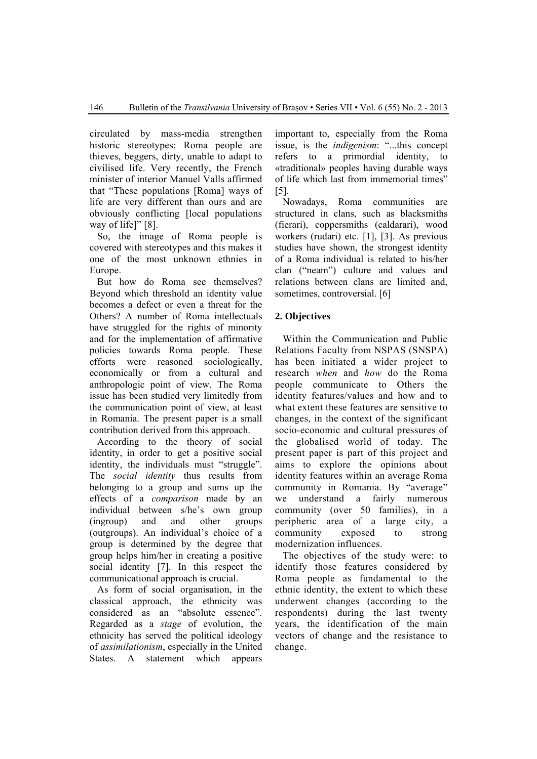circulated by mass-media strengthen historic stereotypes: Roma people are thieves, beggers, dirty, unable to adapt to civilised life. Very recently, the French minister of interior Manuel Valls affirmed that "These populations [Roma] ways of life are very different than ours and are obviously conflicting [local populations way of lifel" [8].

So, the image of Roma people is covered with stereotypes and this makes it one of the most unknown ethnies in Europe.

But how do Roma see themselves? Beyond which threshold an identity value becomes a defect or even a threat for the Others? A number of Roma intellectuals have struggled for the rights of minority and for the implementation of affirmative policies towards Roma people. These efforts were reasoned sociologically, economically or from a cultural and anthropologic point of view. The Roma issue has been studied very limitedly from the communication point of view, at least in Romania. The present paper is a small contribution derived from this approach.

According to the theory of social identity, in order to get a positive social identity, the individuals must "struggle". The *social identity* thus results from belonging to a group and sums up the effects of a *comparison* made by an individual between s/he's own group (ingroup) and and other groups (outgroups). An individual's choice of a group is determined by the degree that group helps him/her in creating a positive social identity [7]. In this respect the communicational approach is crucial.

As form of social organisation, in the classical approach, the ethnicity was considered as an "absolute essence". Regarded as a *stage* of evolution, the ethnicity has served the political ideology of *assimilationism*, especially in the United States. A statement which appears

important to, especially from the Roma issue, is the *indigenism*: "...this concept refers to a primordial identity, to «traditional» peoples having durable ways of life which last from immemorial times" [5].

Nowadays, Roma communities are structured in clans, such as blacksmiths (fierari), coppersmiths (caldarari), wood workers (rudari) etc. [1], [3]. As previous studies have shown, the strongest identity of a Roma individual is related to his/her clan ("neam") culture and values and relations between clans are limited and, sometimes, controversial. [6]

# **2. Objectives**

Within the Communication and Public Relations Faculty from NSPAS (SNSPA) has been initiated a wider project to research *when* and *how* do the Roma people communicate to Others the identity features/values and how and to what extent these features are sensitive to changes, in the context of the significant socio-economic and cultural pressures of the globalised world of today. The present paper is part of this project and aims to explore the opinions about identity features within an average Roma community in Romania. By "average" we understand a fairly numerous community (over 50 families), in a peripheric area of a large city, a community exposed to strong modernization influences.

The objectives of the study were: to identify those features considered by Roma people as fundamental to the ethnic identity, the extent to which these underwent changes (according to the respondents) during the last twenty years, the identification of the main vectors of change and the resistance to change.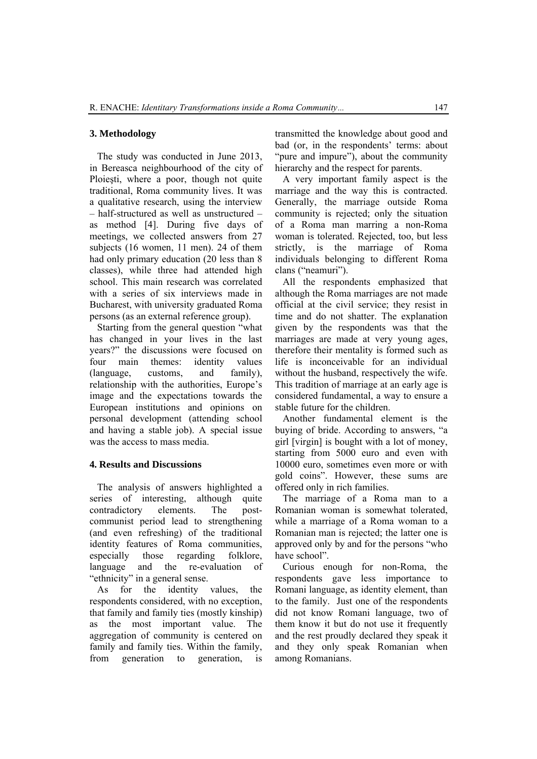#### **3. Methodology**

The study was conducted in June 2013, in Bereasca neighbourhood of the city of Ploieşti, where a poor, though not quite traditional, Roma community lives. It was a qualitative research, using the interview – half-structured as well as unstructured – as method [4]. During five days of meetings, we collected answers from 27 subjects (16 women, 11 men). 24 of them had only primary education (20 less than 8 classes), while three had attended high school. This main research was correlated with a series of six interviews made in Bucharest, with university graduated Roma persons (as an external reference group).

Starting from the general question "what has changed in your lives in the last years?" the discussions were focused on four main themes: identity values (language, customs, and family), relationship with the authorities, Europe's image and the expectations towards the European institutions and opinions on personal development (attending school and having a stable job). A special issue was the access to mass media.

#### **4. Results and Discussions**

The analysis of answers highlighted a series of interesting, although quite contradictory elements. The postcommunist period lead to strengthening (and even refreshing) of the traditional identity features of Roma communities, especially those regarding folklore, language and the re-evaluation of "ethnicity" in a general sense.

As for the identity values, the respondents considered, with no exception, that family and family ties (mostly kinship) as the most important value. The aggregation of community is centered on family and family ties. Within the family, from generation to generation, is transmitted the knowledge about good and bad (or, in the respondents' terms: about "pure and impure"), about the community hierarchy and the respect for parents.

A very important family aspect is the marriage and the way this is contracted. Generally, the marriage outside Roma community is rejected; only the situation of a Roma man marring a non-Roma woman is tolerated. Rejected, too, but less strictly, is the marriage of Roma individuals belonging to different Roma clans ("neamuri").

All the respondents emphasized that although the Roma marriages are not made official at the civil service; they resist in time and do not shatter. The explanation given by the respondents was that the marriages are made at very young ages, therefore their mentality is formed such as life is inconceivable for an individual without the husband, respectively the wife. This tradition of marriage at an early age is considered fundamental, a way to ensure a stable future for the children.

Another fundamental element is the buying of bride. According to answers, "a girl [virgin] is bought with a lot of money, starting from 5000 euro and even with 10000 euro, sometimes even more or with gold coins". However, these sums are offered only in rich families.

The marriage of a Roma man to a Romanian woman is somewhat tolerated, while a marriage of a Roma woman to a Romanian man is rejected; the latter one is approved only by and for the persons "who have school".

Curious enough for non-Roma, the respondents gave less importance to Romani language, as identity element, than to the family. Just one of the respondents did not know Romani language, two of them know it but do not use it frequently and the rest proudly declared they speak it and they only speak Romanian when among Romanians.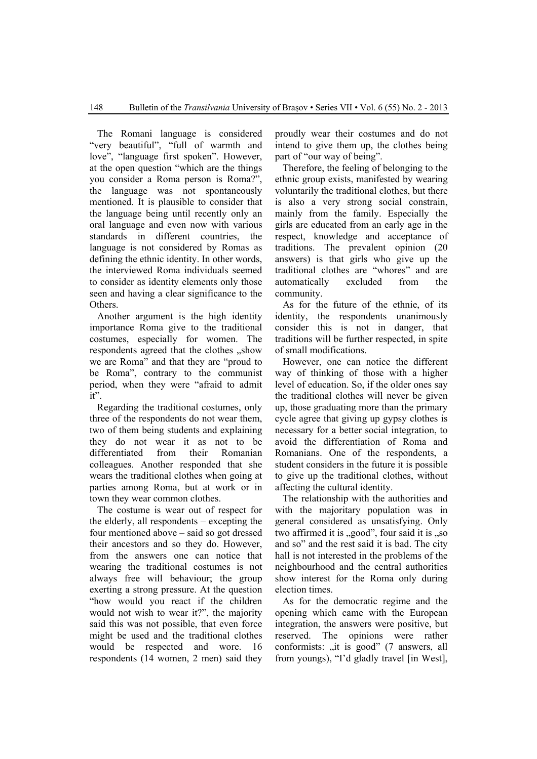The Romani language is considered "very beautiful", "full of warmth and love", "language first spoken". However, at the open question "which are the things you consider a Roma person is Roma?", the language was not spontaneously mentioned. It is plausible to consider that the language being until recently only an oral language and even now with various standards in different countries, the language is not considered by Romas as defining the ethnic identity. In other words, the interviewed Roma individuals seemed to consider as identity elements only those seen and having a clear significance to the Others.

Another argument is the high identity importance Roma give to the traditional costumes, especially for women. The respondents agreed that the clothes "show we are Roma" and that they are "proud to be Roma", contrary to the communist period, when they were "afraid to admit it".

Regarding the traditional costumes, only three of the respondents do not wear them, two of them being students and explaining they do not wear it as not to be differentiated from their Romanian colleagues. Another responded that she wears the traditional clothes when going at parties among Roma, but at work or in town they wear common clothes.

The costume is wear out of respect for the elderly, all respondents – excepting the four mentioned above – said so got dressed their ancestors and so they do. However, from the answers one can notice that wearing the traditional costumes is not always free will behaviour; the group exerting a strong pressure. At the question "how would you react if the children would not wish to wear it?", the majority said this was not possible, that even force might be used and the traditional clothes would be respected and wore. 16 respondents (14 women, 2 men) said they

proudly wear their costumes and do not intend to give them up, the clothes being part of "our way of being".

Therefore, the feeling of belonging to the ethnic group exists, manifested by wearing voluntarily the traditional clothes, but there is also a very strong social constrain, mainly from the family. Especially the girls are educated from an early age in the respect, knowledge and acceptance of traditions. The prevalent opinion (20 answers) is that girls who give up the traditional clothes are "whores" and are automatically excluded from the community.

As for the future of the ethnie, of its identity, the respondents unanimously consider this is not in danger, that traditions will be further respected, in spite of small modifications.

However, one can notice the different way of thinking of those with a higher level of education. So, if the older ones say the traditional clothes will never be given up, those graduating more than the primary cycle agree that giving up gypsy clothes is necessary for a better social integration, to avoid the differentiation of Roma and Romanians. One of the respondents, a student considers in the future it is possible to give up the traditional clothes, without affecting the cultural identity.

The relationship with the authorities and with the majoritary population was in general considered as unsatisfying. Only two affirmed it is  $, good$ ", four said it is  $, so$ and so" and the rest said it is bad. The city hall is not interested in the problems of the neighbourhood and the central authorities show interest for the Roma only during election times.

As for the democratic regime and the opening which came with the European integration, the answers were positive, but reserved. The opinions were rather conformists: "it is good" (7 answers, all from youngs), "I'd gladly travel [in West],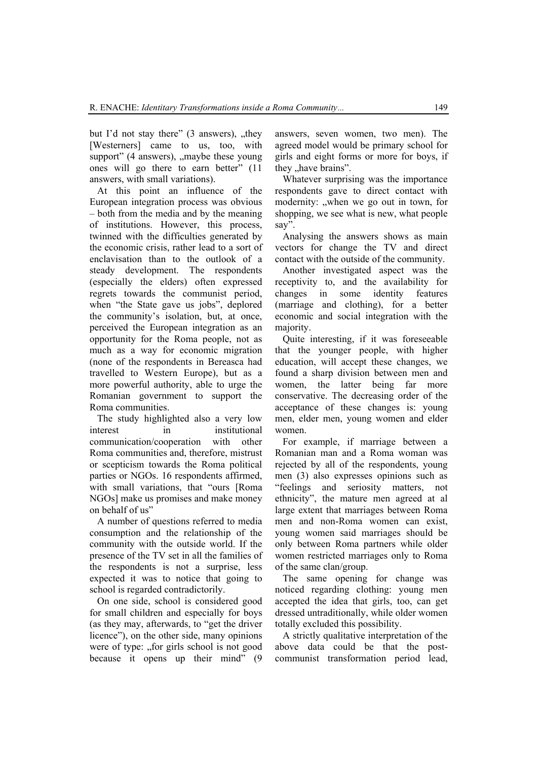but I'd not stay there"  $(3 \text{ answers})$ , they [Westerners] came to us, too, with support"  $(4 \text{ answers})$ , maybe these young ones will go there to earn better" (11 answers, with small variations).

At this point an influence of the European integration process was obvious – both from the media and by the meaning of institutions. However, this process, twinned with the difficulties generated by the economic crisis, rather lead to a sort of enclavisation than to the outlook of a steady development. The respondents (especially the elders) often expressed regrets towards the communist period, when "the State gave us jobs", deplored the community's isolation, but, at once, perceived the European integration as an opportunity for the Roma people, not as much as a way for economic migration (none of the respondents in Bereasca had travelled to Western Europe), but as a more powerful authority, able to urge the Romanian government to support the Roma communities.

The study highlighted also a very low interest in institutional communication/cooperation with other Roma communities and, therefore, mistrust or scepticism towards the Roma political parties or NGOs. 16 respondents affirmed, with small variations, that "ours [Roma NGOs] make us promises and make money on behalf of us"

A number of questions referred to media consumption and the relationship of the community with the outside world. If the presence of the TV set in all the families of the respondents is not a surprise, less expected it was to notice that going to school is regarded contradictorily.

On one side, school is considered good for small children and especially for boys (as they may, afterwards, to "get the driver licence"), on the other side, many opinions were of type: "for girls school is not good because it opens up their mind" (9

answers, seven women, two men). The agreed model would be primary school for girls and eight forms or more for boys, if they "have brains".

Whatever surprising was the importance respondents gave to direct contact with modernity: "when we go out in town, for shopping, we see what is new, what people say".

Analysing the answers shows as main vectors for change the TV and direct contact with the outside of the community.

Another investigated aspect was the receptivity to, and the availability for changes in some identity features (marriage and clothing), for a better economic and social integration with the majority.

Quite interesting, if it was foreseeable that the younger people, with higher education, will accept these changes, we found a sharp division between men and women, the latter being far more conservative. The decreasing order of the acceptance of these changes is: young men, elder men, young women and elder women.

For example, if marriage between a Romanian man and a Roma woman was rejected by all of the respondents, young men (3) also expresses opinions such as "feelings and seriosity matters, not ethnicity", the mature men agreed at al large extent that marriages between Roma men and non-Roma women can exist, young women said marriages should be only between Roma partners while older women restricted marriages only to Roma of the same clan/group.

The same opening for change was noticed regarding clothing: young men accepted the idea that girls, too, can get dressed untraditionally, while older women totally excluded this possibility.

A strictly qualitative interpretation of the above data could be that the postcommunist transformation period lead,